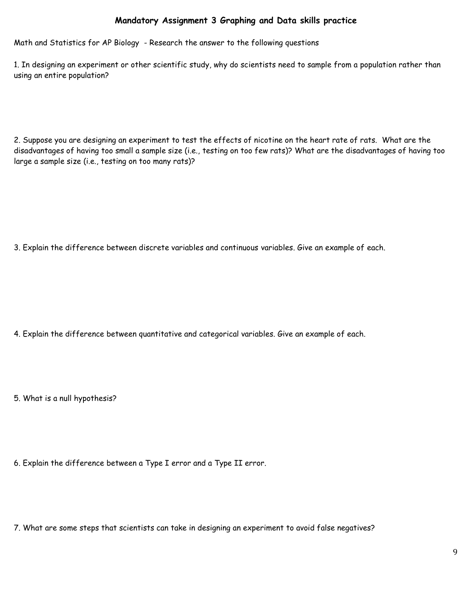## **Mandatory Assignment 3 Graphing and Data skills practice**

Math and Statistics for AP Biology - Research the answer to the following questions

1. In designing an experiment or other scientific study, why do scientists need to sample from a population rather than using an entire population?

2. Suppose you are designing an experiment to test the effects of nicotine on the heart rate of rats. What are the disadvantages of having too small a sample size (i.e., testing on too few rats)? What are the disadvantages of having too large a sample size (i.e., testing on too many rats)?

3. Explain the difference between discrete variables and continuous variables. Give an example of each.

4. Explain the difference between quantitative and categorical variables. Give an example of each.

5. What is a null hypothesis?

6. Explain the difference between a Type I error and a Type II error.

7. What are some steps that scientists can take in designing an experiment to avoid false negatives?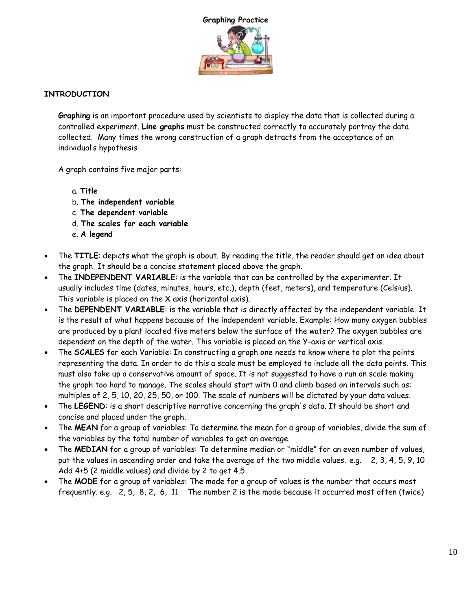

## **INTRODUCTION**

**Graphing** is an important procedure used by scientists to display the data that is collected during a controlled experiment. **Line graphs** must be constructed correctly to accurately portray the data collected. Many times the wrong construction of a graph detracts from the acceptance of an individual's hypothesis

A graph contains five major parts:

- a. **Title**
- b. **The independent variable**
- c. **The dependent variable**
- d. **The scales for each variable**
- e. **A legend**
- The **TITLE**: depicts what the graph is about. By reading the title, the reader should get an idea about the graph. It should be a concise statement placed above the graph.
- The **INDEPENDENT VARIABLE**: is the variable that can be controlled by the experimenter. It usually includes time (dates, minutes, hours, etc.), depth (feet, meters), and temperature (Celsius). This variable is placed on the X axis (horizontal axis).
- The **DEPENDENT VARIABLE**: is the variable that is directly affected by the independent variable. It is the result of what happens because of the independent variable. Example: How many oxygen bubbles are produced by a plant located five meters below the surface of the water? The oxygen bubbles are dependent on the depth of the water. This variable is placed on the Y-axis or vertical axis.
- The **SCALES** for each Variable: In constructing a graph one needs to know where to plot the points representing the data. In order to do this a scale must be employed to include all the data points. This must also take up a conservative amount of space. It is not suggested to have a run on scale making the graph too hard to manage. The scales should start with 0 and climb based on intervals such as: multiples of 2, 5, 10, 20, 25, 50, or 100. The scale of numbers will be dictated by your data values.
- The **LEGEND**: is a short descriptive narrative concerning the graph's data. It should be short and concise and placed under the graph.
- The **MEAN** for a group of variables: To determine the mean for a group of variables, divide the sum of the variables by the total number of variables to get an average.
- The **MEDIAN** for a group of variables: To determine median or "middle" for an even number of values, put the values in ascending order and take the average of the two middle values. e.g. 2, 3, 4, 5, 9, 10 Add 4+5 (2 middle values) and divide by 2 to get 4.5
- The **MODE** for a group of variables: The mode for a group of values is the number that occurs most frequently. e.g. 2, 5, 8, 2, 6, 11 The number 2 is the mode because it occurred most often (twice)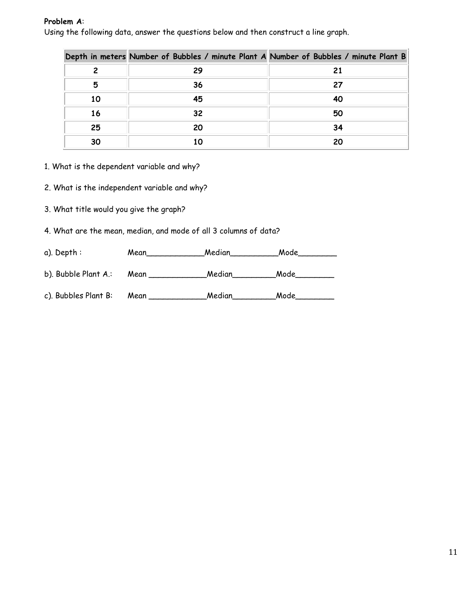#### **Problem A**:

Using the following data, answer the questions below and then construct a line graph.

|    | Depth in meters Number of Bubbles / minute Plant A Number of Bubbles / minute Plant B |    |
|----|---------------------------------------------------------------------------------------|----|
|    | 29                                                                                    | 21 |
| 5  | 36                                                                                    | 27 |
| 10 | 45                                                                                    | 40 |
| 16 | 32                                                                                    | 50 |
| 25 | 20                                                                                    | 34 |
| 30 | 10                                                                                    | 20 |

1. What is the dependent variable and why?

2. What is the independent variable and why?

3. What title would you give the graph?

4. What are the mean, median, and mode of all 3 columns of data?

| a). Depth:           | Mean | Median | Mode |
|----------------------|------|--------|------|
| b). Bubble Plant A.: | Mean | Median | Mode |
| c). Bubbles Plant B: | Mean | Median | Mode |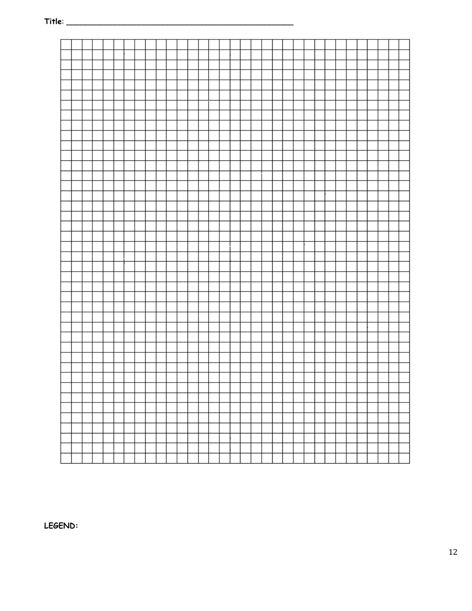

LEGEND: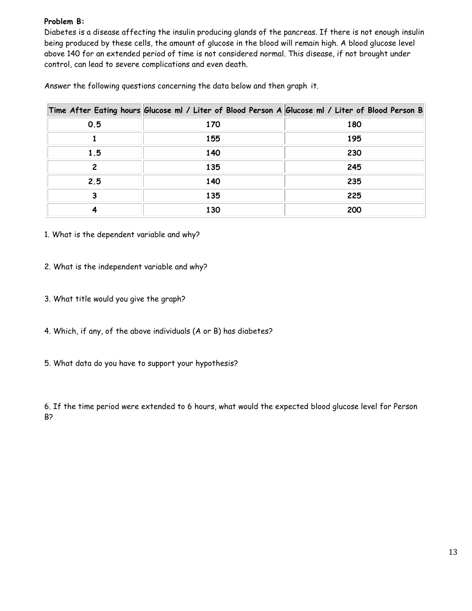#### **Problem B:**

Diabetes is a disease affecting the insulin producing glands of the pancreas. If there is not enough insulin being produced by these cells, the amount of glucose in the blood will remain high. A blood glucose level above 140 for an extended period of time is not considered normal. This disease, if not brought under control, can lead to severe complications and even death.

Answer the following questions concerning the data below and then graph it.

|     | Time After Eating hours Glucose ml / Liter of Blood Person A Glucose ml / Liter of Blood Person B |     |
|-----|---------------------------------------------------------------------------------------------------|-----|
| 0.5 | 170                                                                                               | 180 |
|     | 155                                                                                               | 195 |
| 1.5 | 140                                                                                               | 230 |
| 2   | 135                                                                                               | 245 |
| 2.5 | 140                                                                                               | 235 |
| 3   | 135                                                                                               | 225 |
|     | 130                                                                                               | 200 |

- 1. What is the dependent variable and why?
- 2. What is the independent variable and why?
- 3. What title would you give the graph?
- 4. Which, if any, of the above individuals (A or B) has diabetes?
- 5. What data do you have to support your hypothesis?

6. If the time period were extended to 6 hours, what would the expected blood glucose level for Person B?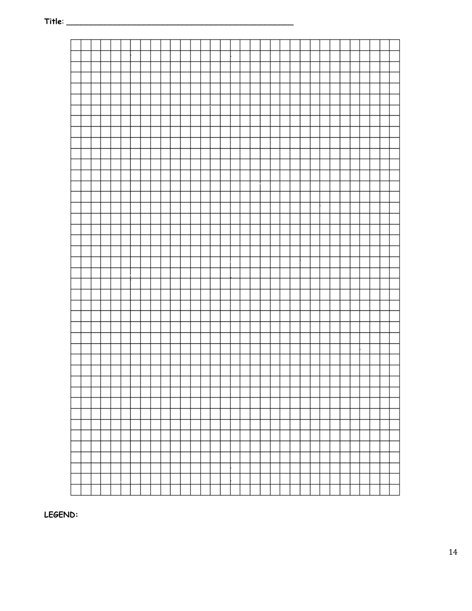LEGEND: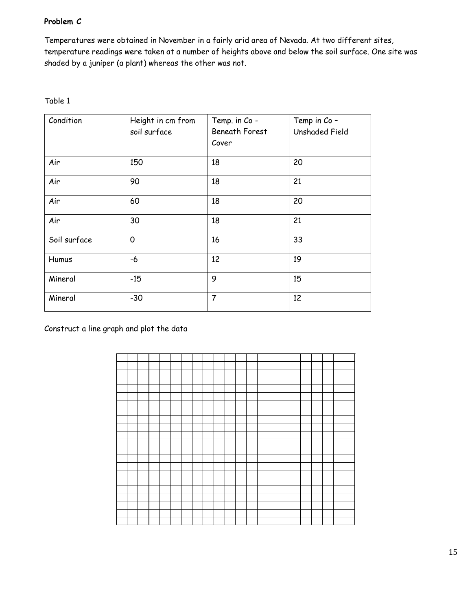## **Problem C**

Temperatures were obtained in November in a fairly arid area of Nevada. At two different sites, temperature readings were taken at a number of heights above and below the soil surface. One site was shaded by a juniper (a plant) whereas the other was not.

| אומה |
|------|
|------|

| Condition    | Height in cm from<br>soil surface | Temp. in Co -<br><b>Beneath Forest</b><br>Cover | Temp in Co -<br><b>Unshaded Field</b> |
|--------------|-----------------------------------|-------------------------------------------------|---------------------------------------|
| Air          | 150                               | 18                                              | 20                                    |
| Air          | 90                                | 18                                              | 21                                    |
| Air          | 60                                | 18                                              | 20                                    |
| Air          | 30                                | 18                                              | 21                                    |
| Soil surface | 0                                 | 16                                              | 33                                    |
| Humus        | -6                                | 12                                              | 19                                    |
| Mineral      | $-15$                             | 9                                               | 15                                    |
| Mineral      | $-30$                             | $\overline{7}$                                  | 12                                    |

Construct a line graph and plot the data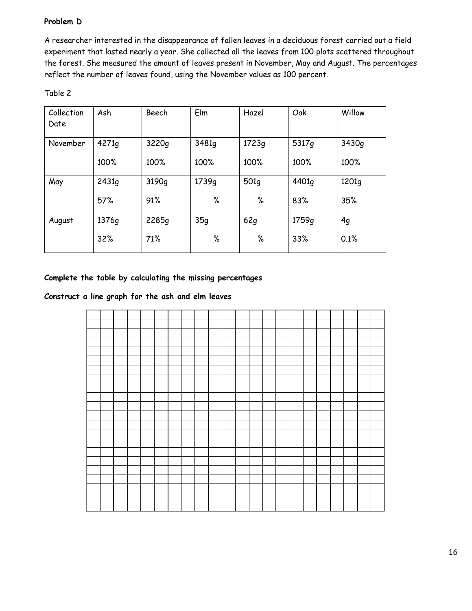## **Problem D**

A researcher interested in the disappearance of fallen leaves in a deciduous forest carried out a field experiment that lasted nearly a year. She collected all the leaves from 100 plots scattered throughout the forest. She measured the amount of leaves present in November, May and August. The percentages reflect the number of leaves found, using the November values as 100 percent.

| Collection | Ash   | Beech             | Elm   | Hazel | Oak               | Willow |
|------------|-------|-------------------|-------|-------|-------------------|--------|
| Date       |       |                   |       |       |                   |        |
| November   | 4271g | 3220g             | 3481q | 1723g | 5317 <sub>g</sub> | 3430q  |
|            | 100%  | 100%              | 100%  | 100%  | 100%              | 100%   |
| May        | 2431g | 3190 <sub>q</sub> | 1739q | 501q  | 4401 <sub>q</sub> | 1201q  |
|            | 57%   | 91%               | $\%$  | $\%$  | 83%               | 35%    |
| August     | 1376g | 2285g             | 35q   | 62q   | 1759 <sub>q</sub> | 4g     |
|            | 32%   | 71%               | $\%$  | $\%$  | 33%               | 0.1%   |

#### **Complete the table by calculating the missing percentages**

#### **Construct a line graph for the ash and elm leaves**

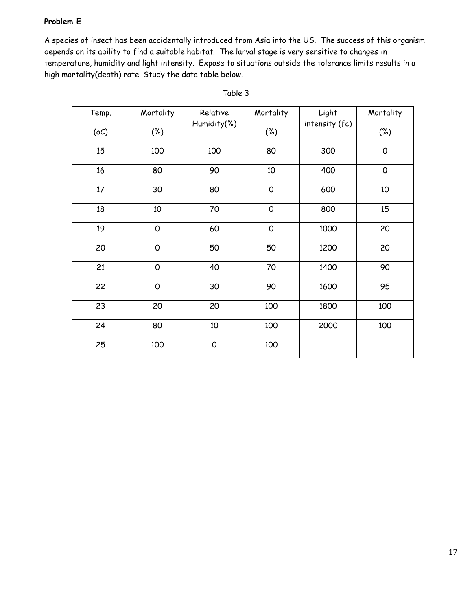## **Problem E**

A species of insect has been accidentally introduced from Asia into the US. The success of this organism depends on its ability to find a suitable habitat. The larval stage is very sensitive to changes in temperature, humidity and light intensity. Expose to situations outside the tolerance limits results in a high mortality(death) rate. Study the data table below.

| Temp. | Mortality   | Relative    | Mortality           | Light          | Mortality   |
|-------|-------------|-------------|---------------------|----------------|-------------|
| (oC)  | $(\%)$      | Humidity(%) | $(\%)$              | intensity (fc) | $(\%)$      |
| 15    | 100         | 100         | 80                  | 300            | $\mathbf 0$ |
| 16    | 80          | 90          | 10                  | 400            | $\mathbf 0$ |
| 17    | 30          | 80          | $\mathsf{O}\xspace$ | 600            | 10          |
| 18    | 10          | 70          | $\mathsf{O}\xspace$ | 800            | 15          |
| 19    | $\mathbf 0$ | 60          | $\mathsf{O}\xspace$ | 1000           | 20          |
| 20    | $\mathbf 0$ | 50          | 50                  | 1200           | 20          |
| 21    | $\mathbf 0$ | 40          | 70                  | 1400           | 90          |
| 22    | $\mathbf 0$ | 30          | 90                  | 1600           | 95          |
| 23    | 20          | 20          | 100                 | 1800           | 100         |
| 24    | 80          | $10\,$      | 100                 | 2000           | 100         |
| 25    | 100         | $\mathbf 0$ | 100                 |                |             |

Table 3